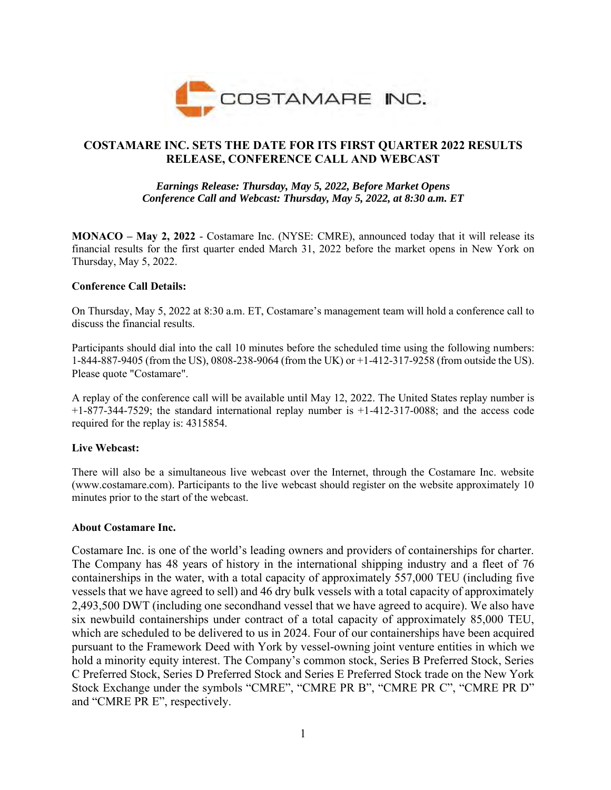

# **COSTAMARE INC. SETS THE DATE FOR ITS FIRST QUARTER 2022 RESULTS RELEASE, CONFERENCE CALL AND WEBCAST**

## *Earnings Release: Thursday, May 5, 2022, Before Market Opens Conference Call and Webcast: Thursday, May 5, 2022, at 8:30 a.m. ET*

**MONACO – May 2, 2022** - Costamare Inc. (NYSE: CMRE), announced today that it will release its financial results for the first quarter ended March 31, 2022 before the market opens in New York on Thursday, May 5, 2022.

### **Conference Call Details:**

On Thursday, May 5, 2022 at 8:30 a.m. ET, Costamare's management team will hold a conference call to discuss the financial results.

Participants should dial into the call 10 minutes before the scheduled time using the following numbers: 1-844-887-9405 (from the US), 0808-238-9064 (from the UK) or +1-412-317-9258 (from outside the US). Please quote "Costamare".

A replay of the conference call will be available until May 12, 2022. The United States replay number is +1-877-344-7529; the standard international replay number is +1-412-317-0088; and the access code required for the replay is: 4315854.

### **Live Webcast:**

There will also be a simultaneous live webcast over the Internet, through the Costamare Inc. website (www.costamare.com). Participants to the live webcast should register on the website approximately 10 minutes prior to the start of the webcast.

#### **About Costamare Inc.**

Costamare Inc. is one of the world's leading owners and providers of containerships for charter. The Company has 48 years of history in the international shipping industry and a fleet of 76 containerships in the water, with a total capacity of approximately 557,000 TEU (including five vessels that we have agreed to sell) and 46 dry bulk vessels with a total capacity of approximately 2,493,500 DWT (including one secondhand vessel that we have agreed to acquire). We also have six newbuild containerships under contract of a total capacity of approximately 85,000 TEU, which are scheduled to be delivered to us in 2024. Four of our containerships have been acquired pursuant to the Framework Deed with York by vessel-owning joint venture entities in which we hold a minority equity interest. The Company's common stock, Series B Preferred Stock, Series C Preferred Stock, Series D Preferred Stock and Series E Preferred Stock trade on the New York Stock Exchange under the symbols "CMRE", "CMRE PR B", "CMRE PR C", "CMRE PR D" and "CMRE PR E", respectively.